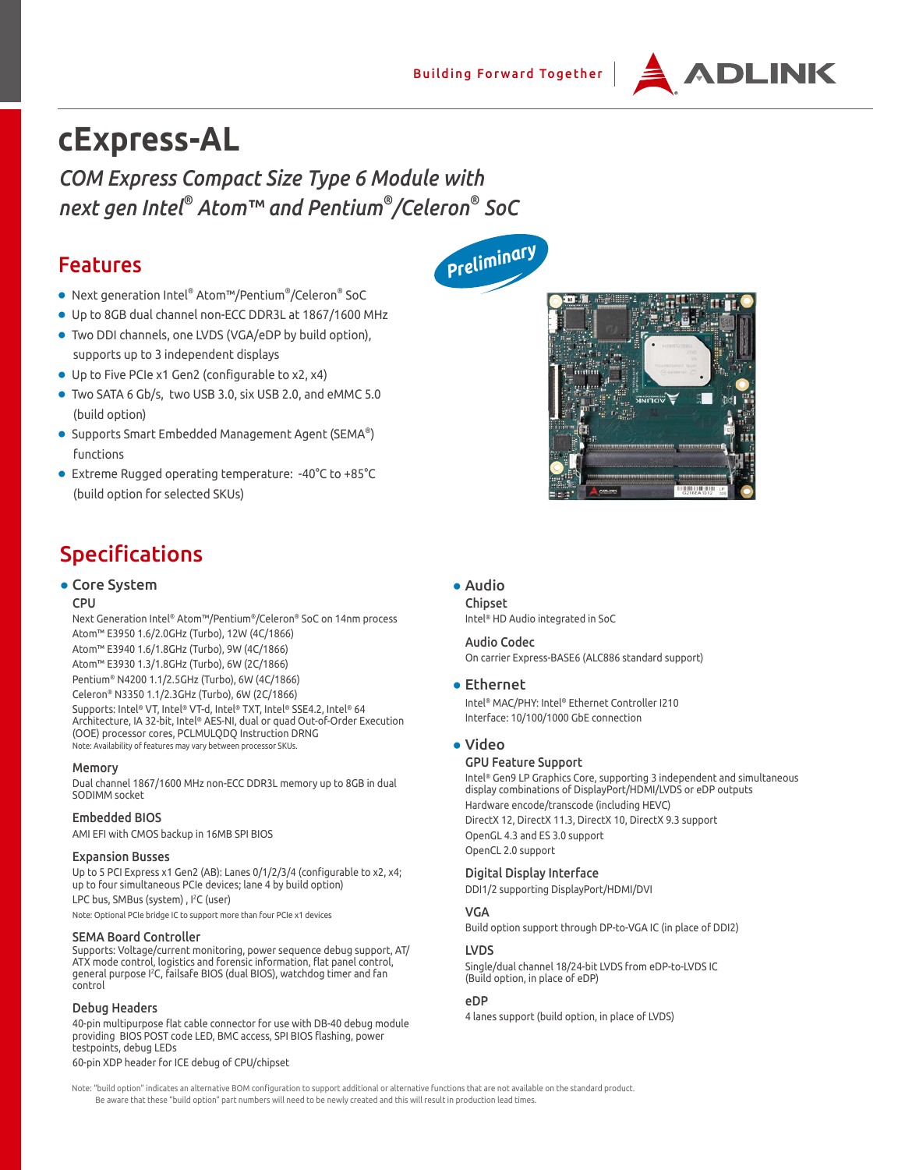

# **cExpress-AL**

*COM Express Compact Size Type 6 Module with next gen Intel® Atom™ and Pentium® /Celeron® SoC* 

### Features

- Next generation Intel® Atom™/Pentium® /Celeron® SoC
- Up to 8GB dual channel non-ECC DDR3L at 1867/1600 MHz
- Two DDI channels, one LVDS (VGA/eDP by build option), supports up to 3 independent displays
- Up to Five PCIe x1 Gen2 (configurable to x2, x4)
- Two SATA 6 Gb/s, two USB 3.0, six USB 2.0, and eMMC 5.0 (build option)
- Supports Smart Embedded Management Agent (SEMA®) functions
- Extreme Rugged operating temperature: -40°C to +85°C (build option for selected SKUs)

## Specifications

#### ● Core System

#### CPU

Next Generation Intel® Atom™/Pentium®/Celeron® SoC on 14nm process Atom™ E3950 1.6/2.0GHz (Turbo), 12W (4C/1866) Atom™ E3940 1.6/1.8GHz (Turbo), 9W (4C/1866) Atom™ E3930 1.3/1.8GHz (Turbo), 6W (2C/1866) Pentium® N4200 1.1/2.5GHz (Turbo), 6W (4C/1866) Celeron® N3350 1.1/2.3GHz (Turbo), 6W (2C/1866) Supports: Intel® VT, Intel® VT-d, Intel® TXT, Intel® SSE4.2, Intel® 64

Architecture, IA 32-bit, Intel® AES-NI, dual or quad Out-of-Order Execution (OOE) processor cores, PCLMULQDQ Instruction DRNG Note: Availability of features may vary between processor SKUs.

#### Memory

Dual channel 1867/1600 MHz non-ECC DDR3L memory up to 8GB in dual SODIMM socket

#### Embedded BIOS

AMI EFI with CMOS backup in 16MB SPI BIOS

#### Expansion Busses

Up to 5 PCI Express x1 Gen2 (AB): Lanes 0/1/2/3/4 (configurable to x2, x4; up to four simultaneous PCIe devices; lane 4 by build option)

LPC bus, SMBus (system), I<sup>2</sup>C (user)

Note: Optional PCIe bridge IC to support more than four PCIe x1 devices

#### SEMA Board Controller

Supports: Voltage/current monitoring, power sequence debug support, AT/ ATX mode control, logistics and forensic information, flat panel control, general purpose I2 C, failsafe BIOS (dual BIOS), watchdog timer and fan control

#### Debug Headers

40-pin multipurpose flat cable connector for use with DB-40 debug module providing BIOS POST code LED, BMC access, SPI BIOS flashing, power testpoints, debug LEDs

60-pin XDP header for ICE debug of CPU/chipset

*Preliminary*



#### ● Audio

Chipset Intel® HD Audio integrated in SoC

Audio Codec On carrier Express-BASE6 (ALC886 standard support)

#### ● Ethernet

Intel® MAC/PHY: Intel® Ethernet Controller I210 Interface: 10/100/1000 GbE connection

#### ● Video

#### GPU Feature Support

Intel® Gen9 LP Graphics Core, supporting 3 independent and simultaneous display combinations of DisplayPort/HDMI/LVDS or eDP outputs Hardware encode/transcode (including HEVC) DirectX 12, DirectX 11.3, DirectX 10, DirectX 9.3 support OpenGL 4.3 and ES 3.0 support OpenCL 2.0 support

Digital Display Interface

DDI1/2 supporting DisplayPort/HDMI/DVI

#### VGA

Build option support through DP-to-VGA IC (in place of DDI2)

#### LVDS

Single/dual channel 18/24-bit LVDS from eDP-to-LVDS IC (Build option, in place of eDP)

#### eDP

4 lanes support (build option, in place of LVDS)

Note: "build option" indicates an alternative BOM configuration to support additional or alternative functions that are not available on the standard product. Be aware that these "build option" part numbers will need to be newly created and this will result in production lead times.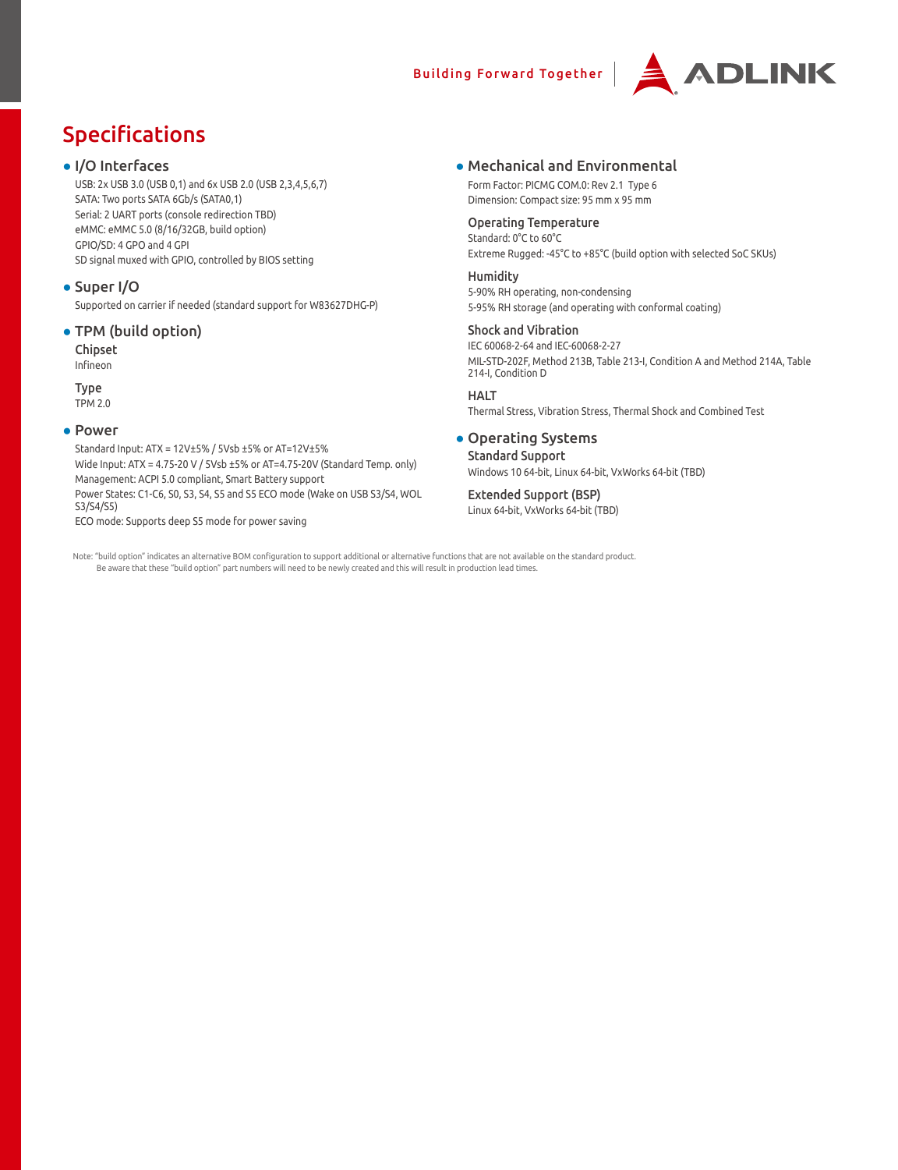### Building Forward Together



# Specifications

#### ● I/O Interfaces

USB: 2x USB 3.0 (USB 0,1) and 6x USB 2.0 (USB 2,3,4,5,6,7) SATA: Two ports SATA 6Gb/s (SATA0,1) Serial: 2 UART ports (console redirection TBD) eMMC: eMMC 5.0 (8/16/32GB, build option) GPIO/SD: 4 GPO and 4 GPI SD signal muxed with GPIO, controlled by BIOS setting

#### ● Super I/O

Supported on carrier if needed (standard support for W83627DHG-P)

#### ● TPM (build option)

Chipset

Infineon

Type TPM 2.0

#### ● Power

Standard Input: ATX = 12V±5% / 5Vsb ±5% or AT=12V±5% Wide Input: ATX = 4.75-20 V / 5Vsb ±5% or AT=4.75-20V (Standard Temp. only) Management: ACPI 5.0 compliant, Smart Battery support Power States: C1-C6, S0, S3, S4, S5 and S5 ECO mode (Wake on USB S3/S4, WOL S3/S4/S5) ECO mode: Supports deep S5 mode for power saving

#### ● Mechanical and Environmental

Form Factor: PICMG COM.0: Rev 2.1 Type 6 Dimension: Compact size: 95 mm x 95 mm

#### Operating Temperature

Standard: 0°C to 60°C Extreme Rugged: -45°C to +85°C (build option with selected SoC SKUs)

#### **Humidity**

5-90% RH operating, non-condensing 5-95% RH storage (and operating with conformal coating)

#### Shock and Vibration

IEC 60068-2-64 and IEC-60068-2-27 MIL-STD-202F, Method 213B, Table 213-I, Condition A and Method 214A, Table 214-I, Condition D

**HALT** Thermal Stress, Vibration Stress, Thermal Shock and Combined Test

### • Operating Systems

Standard Support Windows 10 64-bit, Linux 64-bit, VxWorks 64-bit (TBD)

#### Extended Support (BSP) Linux 64-bit, VxWorks 64-bit (TBD)

Note: "build option" indicates an alternative BOM configuration to support additional or alternative functions that are not available on the standard product. Be aware that these "build option" part numbers will need to be newly created and this will result in production lead times.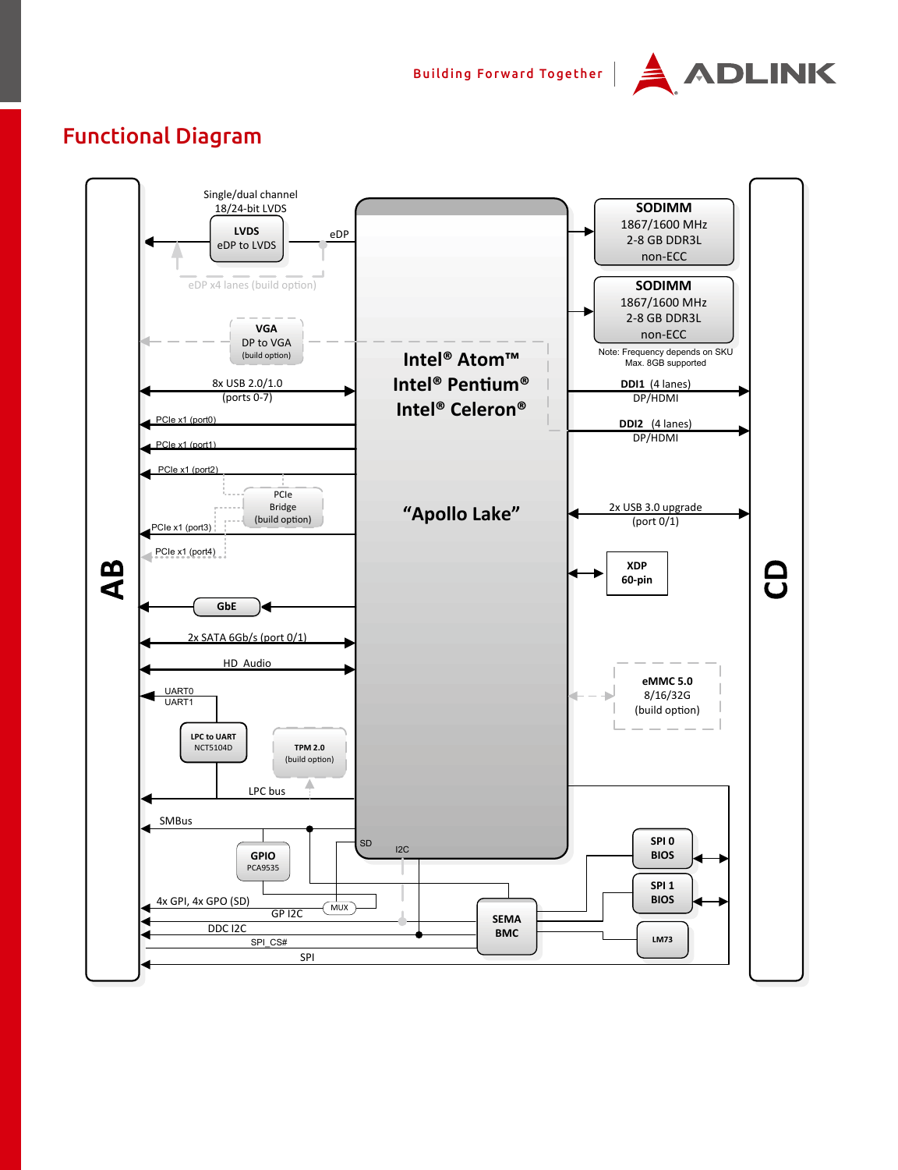Building Forward Together |



## Functional Diagram